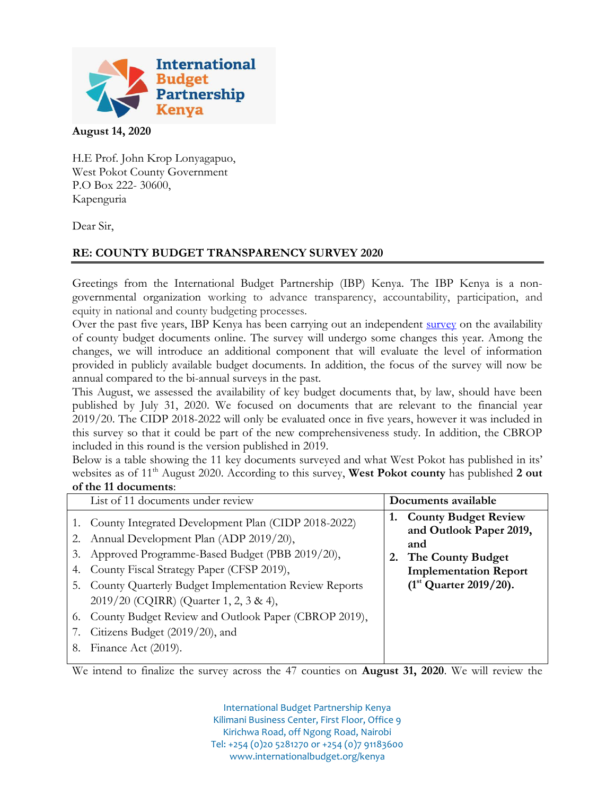

## **August 14, 2020**

H.E Prof. John Krop Lonyagapuo, West Pokot County Government P.O Box 222- 30600, Kapenguria

Dear Sir,

## **RE: COUNTY BUDGET TRANSPARENCY SURVEY 2020**

Greetings from the International Budget Partnership (IBP) Kenya. The IBP Kenya is a nongovernmental organization working to advance transparency, accountability, participation, and equity in national and county budgeting processes.

Over the past five years, IBP Kenya has been carrying out an independent [survey](http://www.internationalbudget.org/budget-work-by-country/ibps-work-in-countries/kenya/understanding-county-budgets/tracking-county-budget-information-kenya/) on the availability of county budget documents online. The survey will undergo some changes this year. Among the changes, we will introduce an additional component that will evaluate the level of information provided in publicly available budget documents. In addition, the focus of the survey will now be annual compared to the bi-annual surveys in the past.

This August, we assessed the availability of key budget documents that, by law, should have been published by July 31, 2020. We focused on documents that are relevant to the financial year 2019/20. The CIDP 2018-2022 will only be evaluated once in five years, however it was included in this survey so that it could be part of the new comprehensiveness study. In addition, the CBROP included in this round is the version published in 2019.

Below is a table showing the 11 key documents surveyed and what West Pokot has published in its' websites as of 11<sup>th</sup> August 2020. According to this survey, **West Pokot county** has published 2 out **of the 11 documents**:

|                | List of 11 documents under review                                                                                                                                                                                                                                                                                                                                                                                            |    | Documents available                                                                                                                            |
|----------------|------------------------------------------------------------------------------------------------------------------------------------------------------------------------------------------------------------------------------------------------------------------------------------------------------------------------------------------------------------------------------------------------------------------------------|----|------------------------------------------------------------------------------------------------------------------------------------------------|
| 3.<br>4.<br>8. | 1. County Integrated Development Plan (CIDP 2018-2022)<br>2. Annual Development Plan (ADP 2019/20),<br>Approved Programme-Based Budget (PBB 2019/20),<br>County Fiscal Strategy Paper (CFSP 2019),<br>5. County Quarterly Budget Implementation Review Reports<br>2019/20 (CQIRR) (Quarter 1, 2, 3 & 4),<br>6. County Budget Review and Outlook Paper (CBROP 2019),<br>Citizens Budget (2019/20), and<br>Finance Act (2019). | 1. | <b>County Budget Review</b><br>and Outlook Paper 2019,<br>and<br>The County Budget<br><b>Implementation Report</b><br>$(1st$ Quarter 2019/20). |

We intend to finalize the survey across the 47 counties on **August 31, 2020**. We will review the

International Budget Partnership Kenya Kilimani Business Center, First Floor, Office 9 Kirichwa Road, off Ngong Road, Nairobi Tel: +254 (0)20 5281270 or +254 (0)7 91183600 www.internationalbudget.org/kenya